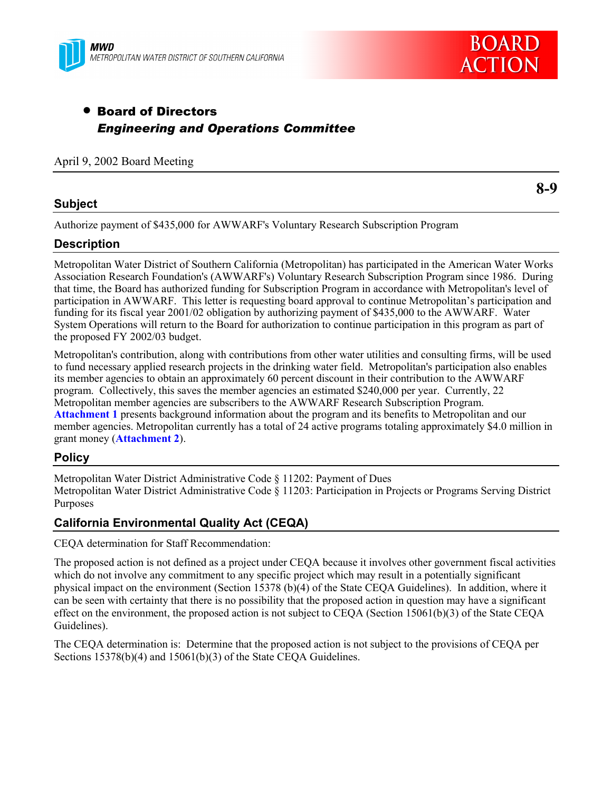



# • Board of Directors *Engineering and Operations Committee*

#### April 9, 2002 Board Meeting

#### **Subject**

**8-9**

Authorize payment of \$435,000 for AWWARF's Voluntary Research Subscription Program

### **Description**

Metropolitan Water District of Southern California (Metropolitan) has participated in the American Water Works Association Research Foundation's (AWWARF's) Voluntary Research Subscription Program since 1986. During that time, the Board has authorized funding for Subscription Program in accordance with Metropolitan's level of participation in AWWARF. This letter is requesting board approval to continue Metropolitan's participation and funding for its fiscal year 2001/02 obligation by authorizing payment of \$435,000 to the AWWARF. Water System Operations will return to the Board for authorization to continue participation in this program as part of the proposed FY 2002/03 budget.

Metropolitan's contribution, along with contributions from other water utilities and consulting firms, will be used to fund necessary applied research projects in the drinking water field. Metropolitan's participation also enables its member agencies to obtain an approximately 60 percent discount in their contribution to the AWWARF program. Collectively, this saves the member agencies an estimated \$240,000 per year. Currently, 22 Metropolitan member agencies are subscribers to the AWWARF Research Subscription Program. **Attachment 1** presents background information about the program and its benefits to Metropolitan and our member agencies. Metropolitan currently has a total of 24 active programs totaling approximately \$4.0 million in grant money (**Attachment 2**).

# **Policy**

Metropolitan Water District Administrative Code § 11202: Payment of Dues Metropolitan Water District Administrative Code § 11203: Participation in Projects or Programs Serving District Purposes

# **California Environmental Quality Act (CEQA)**

CEQA determination for Staff Recommendation:

The proposed action is not defined as a project under CEQA because it involves other government fiscal activities which do not involve any commitment to any specific project which may result in a potentially significant physical impact on the environment (Section 15378 (b)(4) of the State CEQA Guidelines). In addition, where it can be seen with certainty that there is no possibility that the proposed action in question may have a significant effect on the environment, the proposed action is not subject to CEQA (Section 15061(b)(3) of the State CEQA Guidelines).

The CEQA determination is: Determine that the proposed action is not subject to the provisions of CEQA per Sections 15378(b)(4) and 15061(b)(3) of the State CEQA Guidelines.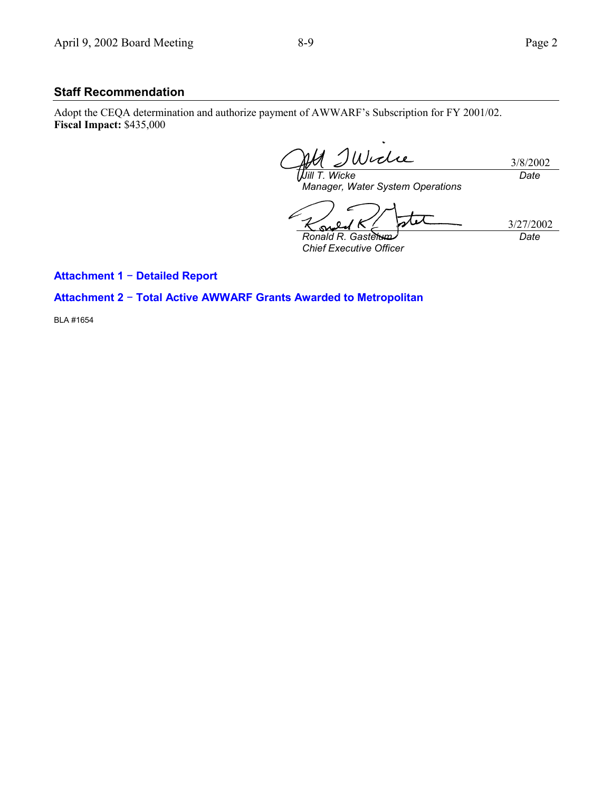## **Staff Recommendation**

Adopt the CEQA determination and authorize payment of AWWARF's Subscription for FY 2001/02. **Fiscal Impact:** \$435,000

Wiche 3/8/2002 *Jill T. Wicke Date*

*Manager, Water System Operations*

 $\boldsymbol{0}$ S *Ronald R. Gastelum*

*Chief Executive Officer*

3/27/2002 *Date*

**Attachment 1** − **Detailed Report**

### **Attachment 2** − **Total Active AWWARF Grants Awarded to Metropolitan**

BLA #1654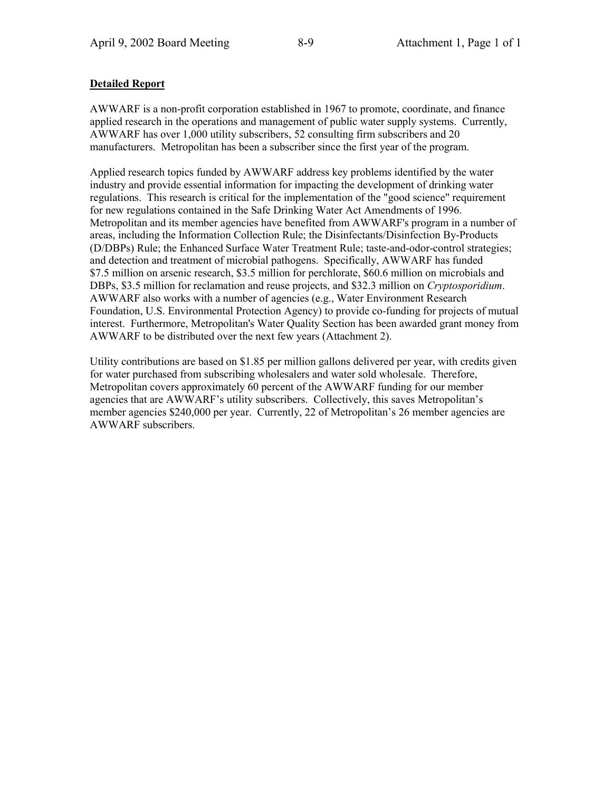#### **Detailed Report**

AWWARF is a non-profit corporation established in 1967 to promote, coordinate, and finance applied research in the operations and management of public water supply systems. Currently, AWWARF has over 1,000 utility subscribers, 52 consulting firm subscribers and 20 manufacturers. Metropolitan has been a subscriber since the first year of the program.

Applied research topics funded by AWWARF address key problems identified by the water industry and provide essential information for impacting the development of drinking water regulations. This research is critical for the implementation of the "good science" requirement for new regulations contained in the Safe Drinking Water Act Amendments of 1996. Metropolitan and its member agencies have benefited from AWWARF's program in a number of areas, including the Information Collection Rule; the Disinfectants/Disinfection By-Products (D/DBPs) Rule; the Enhanced Surface Water Treatment Rule; taste-and-odor-control strategies; and detection and treatment of microbial pathogens. Specifically, AWWARF has funded \$7.5 million on arsenic research, \$3.5 million for perchlorate, \$60.6 million on microbials and DBPs, \$3.5 million for reclamation and reuse projects, and \$32.3 million on *Cryptosporidium*. AWWARF also works with a number of agencies (e.g., Water Environment Research Foundation, U.S. Environmental Protection Agency) to provide co-funding for projects of mutual interest. Furthermore, Metropolitan's Water Quality Section has been awarded grant money from AWWARF to be distributed over the next few years (Attachment 2).

Utility contributions are based on \$1.85 per million gallons delivered per year, with credits given for water purchased from subscribing wholesalers and water sold wholesale. Therefore, Metropolitan covers approximately 60 percent of the AWWARF funding for our member agencies that are AWWARF's utility subscribers. Collectively, this saves Metropolitan's member agencies \$240,000 per year. Currently, 22 of Metropolitan's 26 member agencies are AWWARF subscribers.